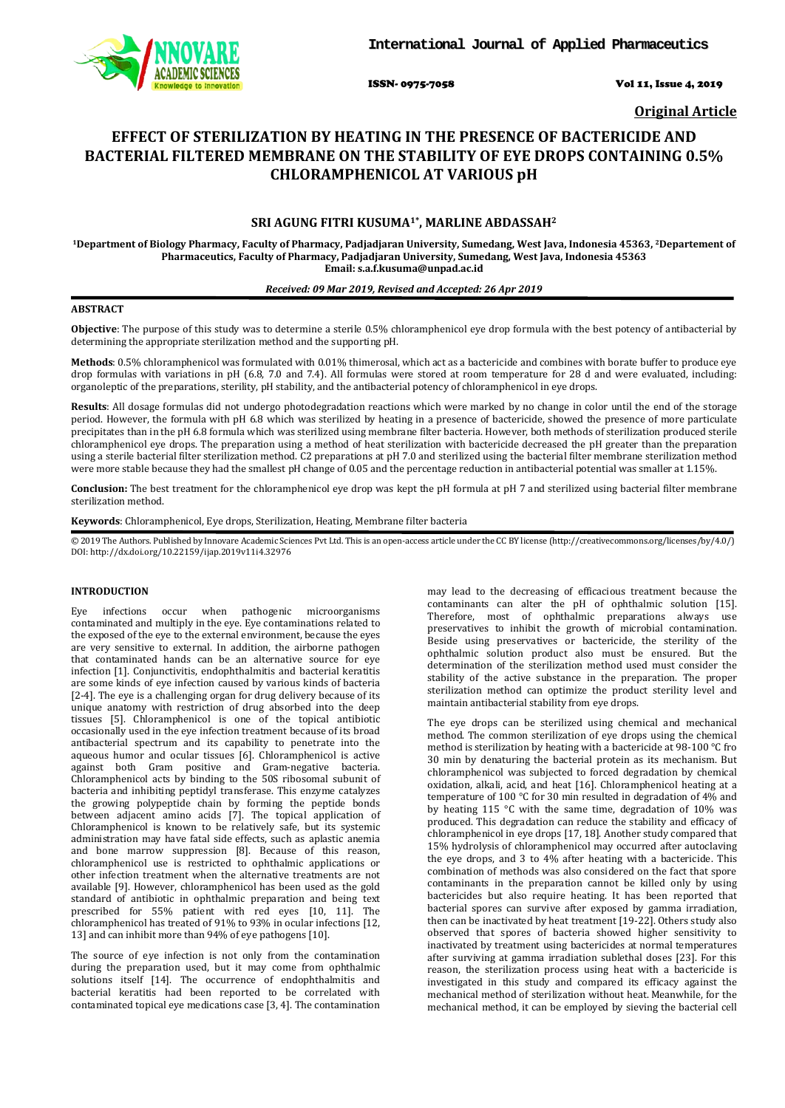

ISSN- 0975-7058 Vol 11, Issue 4, 2019

**Original Article**

# **EFFECT OF STERILIZATION BY HEATING IN THE PRESENCE OF BACTERICIDE AND BACTERIAL FILTERED MEMBRANE ON THE STABILITY OF EYE DROPS CONTAINING 0.5% CHLORAMPHENICOL AT VARIOUS pH**

## **SRI AGUNG FITRI KUSUMA1\*, MARLINE ABDASSAH2**

**1Department of Biology Pharmacy, Faculty of Pharmacy, Padjadjaran University, Sumedang, West Java, Indonesia 45363, 2 Departement of Pharmaceutics, Faculty of Pharmacy, Padjadjaran University, Sumedang, West Java, Indonesia 45363 Email: s.a.f.kusuma@unpad.ac.id**

#### *Received: 09 Mar 2019, Revised and Accepted: 26 Apr 2019*

### **ABSTRACT**

**Objective**: The purpose of this study was to determine a sterile 0.5% chloramphenicol eye drop formula with the best potency of antibacterial by determining the appropriate sterilization method and the supporting pH.

**Methods**: 0.5% chloramphenicol was formulated with 0.01% thimerosal, which act as a bactericide and combines with borate buffer to produce eye drop formulas with variations in pH (6.8, 7.0 and 7.4). All formulas were stored at room temperature for 28 d and were evaluated, including: organoleptic of the preparations, sterility, pH stability, and the antibacterial potency of chloramphenicol in eye drops.

**Results**: All dosage formulas did not undergo photodegradation reactions which were marked by no change in color until the end of the storage period. However, the formula with pH 6.8 which was sterilized by heating in a presence of bactericide, showed the presence of more particulate precipitates than in the pH 6.8 formula which was sterilized using membrane filter bacteria. However, both methods of sterilization produced sterile chloramphenicol eye drops. The preparation using a method of heat sterilization with bactericide decreased the pH greater than the preparation using a sterile bacterial filter sterilization method. C2 preparations at pH 7.0 and sterilized using the bacterial filter membrane sterilization method were more stable because they had the smallest pH change of 0.05 and the percentage reduction in antibacterial potential was smaller at 1.15%.

**Conclusion:** The best treatment for the chloramphenicol eye drop was kept the pH formula at pH 7 and sterilized using bacterial filter membrane sterilization method.

**Keywords**: Chloramphenicol, Eye drops, Sterilization, Heating, Membrane filter bacteria

© 2019 The Authors. Published by Innovare Academic Sciences Pvt Ltd. This is an open-access article under the CC BY license [\(http://creativecommons.org/licenses/by/4.0/\)](http://creativecommons.org/licenses/by/4.0/) DOI: http://dx.doi.org/10.22159/ijap.2019v11i4.32976

## **INTRODUCTION**

Eye infections occur when pathogenic microorganisms contaminated and multiply in the eye. Eye contaminations related to the exposed of the eye to the external environment, because the eyes are very sensitive to external. In addition, the airborne pathogen that contaminated hands can be an alternative source for eye infection [1]. Conjunctivitis, endophthalmitis and bacterial keratitis are some kinds of eye infection caused by various kinds of bacteria [2-4]. The eye is a challenging organ for drug delivery because of its unique anatomy with restriction of drug absorbed into the deep tissues [5]. Chloramphenicol is one of the topical antibiotic occasionally used in the eye infection treatment because of its broad antibacterial spectrum and its capability to penetrate into the aqueous humor and ocular tissues [6]. Chloramphenicol is active against both Gram positive and Gram-negative bacteria. Chloramphenicol acts by binding to the 50S ribosomal subunit of bacteria and inhibiting peptidyl transferase. This enzyme catalyzes the growing polypeptide chain by forming the peptide bonds between adjacent amino acids [7]. The topical application of Chloramphenicol is known to be relatively safe, but its systemic administration may have fatal side effects, such as aplastic anemia and bone marrow suppression [8]. Because of this reason, chloramphenicol use is restricted to ophthalmic applications or other infection treatment when the alternative treatments are not available [9]. However, chloramphenicol has been used as the gold standard of antibiotic in ophthalmic preparation and being text prescribed for 55% patient with red eyes [10, 11]. The chloramphenicol has treated of 91% to 93% in ocular infections [12, 13] and can inhibit more than 94% of eye pathogens [10].

The source of eye infection is not only from the contamination during the preparation used, but it may come from ophthalmic solutions itself [14]. The occurrence of endophthalmitis and bacterial keratitis had been reported to be correlated with contaminated topical eye medications case [3, 4 may lead to the decreasing of efficacious treatment because the contaminants can alter the pH of ophthalmic solution [15]. Therefore, most of ophthalmic preparations always use preservatives to inhibit the growth of microbial contamination. Beside using preservatives or bactericide, the sterility of the ophthalmic solution product also must be ensured. But the determination of the sterilization method used must consider the stability of the active substance in the preparation. The proper sterilization method can optimize the product sterility level and maintain antibacterial stability from eye drops.

The eye drops can be sterilized using chemical and mechanical method. The common sterilization of eye drops using the chemical method is sterilization by heating with a bactericide at 98-100 °C fro 30 min by denaturing the bacterial protein as its mechanism. But chloramphenicol was subjected to forced degradation by chemical oxidation, alkali, acid, and heat [16]. Chloramphenicol heating at a temperature of 100 °C for 30 min resulted in degradation of 4% and by heating 115 °C with the same time, degradation of 10% was produced. This degradation can reduce the stability and efficacy of chloramphenicol in eye drops [17, 18]. Another study compared that 15% hydrolysis of chloramphenicol may occurred after autoclaving the eye drops, and 3 to 4% after heating with a bactericide. This combination of methods was also considered on the fact that spore contaminants in the preparation cannot be killed only by using bactericides but also require heating. It has been reported that bacterial spores can survive after exposed by gamma irradiation, then can be inactivated by heat treatment [19-22]. Others study also observed that spores of bacteria showed higher sensitivity to inactivated by treatment using bactericides at normal temperatures after surviving at gamma irradiation sublethal doses [23]. For this reason, the sterilization process using heat with a bactericide is investigated in this study and compared its efficacy against the mechanical method of sterilization without heat. Meanwhile, for the mechanical method, it can be employed by sieving the bacterial cell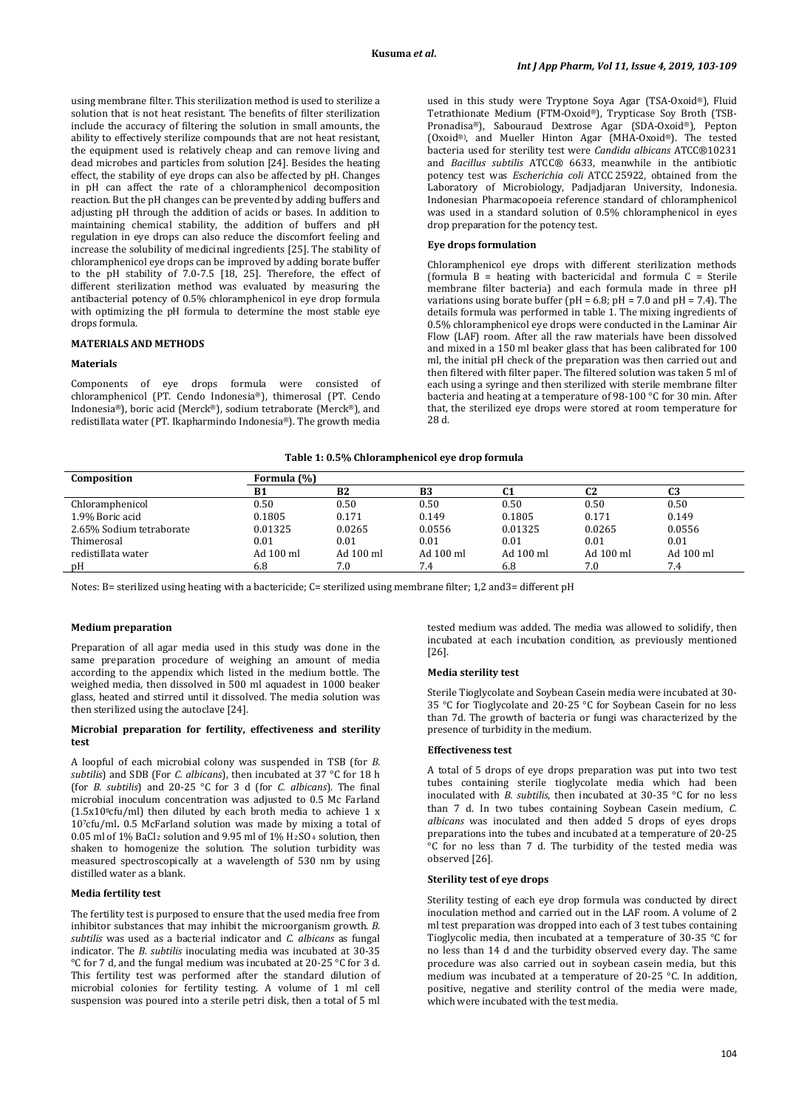using membrane filter. This sterilization method is used to sterilize a solution that is not heat resistant. The benefits of filter sterilization include the accuracy of filtering the solution in small amounts, the ability to effectively sterilize compounds that are not heat resistant, the equipment used is relatively cheap and can remove living and dead microbes and particles from solution [24]. Besides the heating effect, the stability of eye drops can also be affected by pH. Changes in pH can affect the rate of a chloramphenicol decomposition reaction. But the pH changes can be prevented by adding buffers and adjusting pH through the addition of acids or bases. In addition to maintaining chemical stability, the addition of buffers and pH regulation in eye drops can also reduce the discomfort feeling and increase the solubility of medicinal ingredients [25]. The stability of chloramphenicol eye drops can be improved by adding borate buffer to the pH stability of 7.0-7.5 [18, 25]. Therefore, the effect of different sterilization method was evaluated by measuring the antibacterial potency of 0.5% chloramphenicol in eye drop formula with optimizing the pH formula to determine the most stable eye drops formula.

## **MATERIALS AND METHODS**

#### **Materials**

Components of eye drops formula were consisted of chloramphenicol (PT. Cendo Indonesia®), thimerosal (PT. Cendo Indonesia®), boric acid (Merck®), sodium tetraborate (Merck®), and redistillata water (PT. Ikapharmindo Indonesia®). The growth media used in this study were Tryptone Soya Agar (TSA-Oxoid®), Fluid Tetrathionate Medium (FTM-Oxoid®), Trypticase Soy Broth (TSB-Pronadisa®), Sabouraud Dextrose Agar (SDA-Oxoid®), Pepton (Oxoid®) , and Mueller Hinton Agar (MHA-Oxoid® ). The tested bacteria used for sterility test were *Candida albicans* ATCC®10231 and *Bacillus subtilis* ATCC® 6633, meanwhile in the antibiotic potency test was *Escherichia coli* ATCC 25922, obtained from the Laboratory of Microbiology, Padjadjaran University, Indonesia. Indonesian Pharmacopoeia reference standard of chloramphenicol was used in a standard solution of 0.5% chloramphenicol in eyes drop preparation for the potency test.

#### **Eye drops formulation**

Chloramphenicol eye drops with different sterilization methods (formula  $B =$  heating with bactericidal and formula  $C =$  Sterile membrane filter bacteria) and each formula made in three pH variations using borate buffer ( $pH = 6.8$ ;  $pH = 7.0$  and  $pH = 7.4$ ). The details formula was performed in table 1. The mixing ingredients of 0.5% chloramphenicol eye drops were conducted in the Laminar Air Flow (LAF) room. After all the raw materials have been dissolved and mixed in a 150 ml beaker glass that has been calibrated for 100 ml, the initial pH check of the preparation was then carried out and then filtered with filter paper. The filtered solution was taken 5 ml of each using a syringe and then sterilized with sterile membrane filter bacteria and heating at a temperature of 98-100 °C for 30 min. After that, the sterilized eye drops were stored at room temperature for 28 d.

#### **Table 1: 0.5% Chloramphenicol eye drop formula**

| Composition              | Formula (%) |                |           |           |           |           |  |  |  |  |
|--------------------------|-------------|----------------|-----------|-----------|-----------|-----------|--|--|--|--|
|                          | <b>B1</b>   | B <sub>2</sub> | B3        | ιı        | C2        | C3        |  |  |  |  |
| Chloramphenicol          | 0.50        | 0.50           | 0.50      | 0.50      | 0.50      | 0.50      |  |  |  |  |
| 1.9% Boric acid          | 0.1805      | 0.171          | 0.149     | 0.1805    | 0.171     | 0.149     |  |  |  |  |
| 2.65% Sodium tetraborate | 0.01325     | 0.0265         | 0.0556    | 0.01325   | 0.0265    | 0.0556    |  |  |  |  |
| Thimerosal               | 0.01        | 0.01           | 0.01      | 0.01      | 0.01      | 0.01      |  |  |  |  |
| redistillata water       | Ad 100 ml   | Ad 100 ml      | Ad 100 ml | Ad 100 ml | Ad 100 ml | Ad 100 ml |  |  |  |  |
| pH                       | 6.8         | 7.0            | 7.4       | 6.8       | 7.0       | 7.4       |  |  |  |  |

Notes: B= sterilized using heating with a bactericide; C= sterilized using membrane filter; 1,2 and3= different pH

### **Medium preparation**

Preparation of all agar media used in this study was done in the same preparation procedure of weighing an amount of media according to the appendix which listed in the medium bottle. The weighed media, then dissolved in 500 ml aquadest in 1000 beaker glass, heated and stirred until it dissolved. The media solution was then sterilized using the autoclave [24].

#### **Microbial preparation for fertility, effectiveness and sterility test**

A loopful of each microbial colony was suspended in TSB (for *B. subtilis*) and SDB (For *C. albicans*), then incubated at 37 °C for 18 h (for *B. subtilis*) and 20-25 °C for 3 d (for *C. albicans*). The final microbial inoculum concentration was adjusted to 0.5 Mc Farland  $(1.5x10<sup>8</sup>cfu/ml)$  then diluted by each broth media to achieve 1 x 107cfu/ml**.** 0.5 McFarland solution was made by mixing a total of  $0.05$  ml of  $1\%$  BaCl $_2$  solution and 9.95 ml of  $1\%$  H $_2$ SO $_4$  solution, then shaken to homogenize the solution. The solution turbidity was measured spectroscopically at a wavelength of 530 nm by using distilled water as a blank.

The fertility test is purposed to ensure that the used media free from inhibitor substances that may inhibit the microorganism growth. *B. subtilis* was used as a bacterial indicator and *C. albicans* as fungal indicator. The *B. subtilis* inoculating media was incubated at 30-35 °C for 7 d, and the fungal medium was incubated at 20-25 °C for 3 d. This fertility test was performed after the standard dilution of microbial colonies for fertility testing. A volume of 1 ml cell suspension was poured into a sterile petri disk, then a total of 5 ml

tested medium was added. The media was allowed to solidify, then incubated at each incubation condition, as previously mentioned [26].

### **Media sterility test**

Sterile Tioglycolate and Soybean Casein media were incubated at 30- 35 °C for Tioglycolate and 20-25 °C for Soybean Casein for no less than 7d. The growth of bacteria or fungi was characterized by the presence of turbidity in the medium.

#### **Effectiveness test**

A total of 5 drops of eye drops preparation was put into two test tubes containing sterile tioglycolate media which had been inoculated with *B. subtilis*, then incubated at 30-35 °C for no less than 7 d. In two tubes containing Soybean Casein medium, *C. albicans* was inoculated and then added 5 drops of eyes drops preparations into the tubes and incubated at a temperature of 20-25 °C for no less than 7 d. The turbidity of the tested media was observed [26].

#### **Sterility test of eye drops**

**Media fertility test Sterility test** Sterility testing of each eye drop formula was conducted by direct inoculation method and carried out in the LAF room. A volume of 2 ml test preparation was dropped into each of 3 test tubes containing Tioglycolic media, then incubated at a temperature of 30-35 °C for no less than 14 d and the turbidity observed every day. The same procedure was also carried out in soybean casein media, but this medium was incubated at a temperature of 20-25 °C. In addition, positive, negative and sterility control of the media were made, which were incubated with the test media.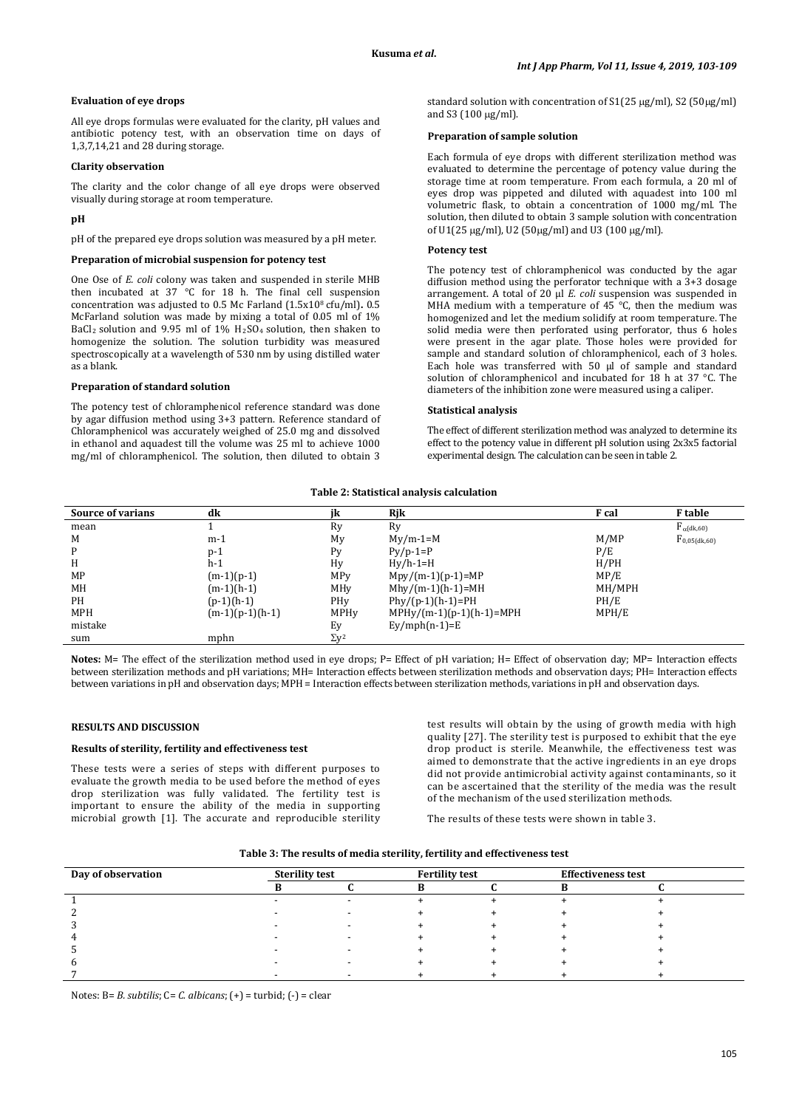### **Evaluation of eye drops**

All eye drops formulas were evaluated for the clarity, pH values and antibiotic potency test, with an observation time on days of 1,3,7,14,21 and 28 during storage.

#### **Clarity observation**

The clarity and the color change of all eye drops were observed visually during storage at room temperature.

## **pH**

pH of the prepared eye drops solution was measured by a pH meter.

#### **Preparation of microbial suspension for potency test**

One Ose of *E. coli* colony was taken and suspended in sterile MHB then incubated at 37 °C for 18 h. The final cell suspension concentration was adjusted to 0.5 Mc Farland (1.5x108 cfu/ml)**.** 0.5 McFarland solution was made by mixing a total of 0.05 ml of 1%  $BaCl<sub>2</sub>$  solution and 9.95 ml of  $1\%$   $H<sub>2</sub>SO<sub>4</sub>$  solution, then shaken to homogenize the solution. The solution turbidity was measured spectroscopically at a wavelength of 530 nm by using distilled water as a blank.

#### **Preparation of standard solution**

The potency test of chloramphenicol reference standard was done by agar diffusion method using 3+3 pattern. Reference standard of Chloramphenicol was accurately weighed of 25.0 mg and dissolved in ethanol and aquadest till the volume was 25 ml to achieve 1000 mg/ml of chloramphenicol. The solution, then diluted to obtain 3 standard solution with concentration of S1(25 µg/ml), S2 (50µg/ml) and S3 (100 µg/ml).

## **Preparation of sample solution**

Each formula of eye drops with different sterilization method was evaluated to determine the percentage of potency value during the storage time at room temperature. From each formula, a 20 ml of eyes drop was pippeted and diluted with aquadest into 100 ml volumetric flask, to obtain a concentration of 1000 mg/ml. The solution, then diluted to obtain 3 sample solution with concentration of U1(25 µg/ml), U2 (50µg/ml) and U3 (100 µg/ml).

#### **Potency test**

The potency test of chloramphenicol was conducted by the agar diffusion method using the perforator technique with a 3+3 dosage arrangement. A total of 20 µl *E. coli* suspension was suspended in MHA medium with a temperature of 45 °C, then the medium was homogenized and let the medium solidify at room temperature. The solid media were then perforated using perforator, thus 6 holes were present in the agar plate. Those holes were provided for sample and standard solution of chloramphenicol, each of 3 holes. Each hole was transferred with 50  $\mu$  of sample and standard solution of chloramphenicol and incubated for 18 h at 37 °C. The diameters of the inhibition zone were measured using a caliper.

#### **Statistical analysis**

The effect of different sterilization method was analyzed to determine its effect to the potency value in different pH solution using 2x3x5 factorial experimental design. The calculation can be seen in table 2.

#### **Table 2: Statistical analysis calculation**

| <b>Source of varians</b> | dk                |                         | Rjk                        | F cal  | <b>F</b> table         |
|--------------------------|-------------------|-------------------------|----------------------------|--------|------------------------|
| mean                     |                   | Ry                      | Ry                         |        | $F_{\alpha}$ (dk,60)   |
| M                        | $m-1$             | My                      | $My/m-1=M$                 | M/MP   | $F_{0.05 \, (dk, 60)}$ |
| P                        | $p-1$             | P <sub>V</sub>          | $Py/p-1=P$                 | P/E    |                        |
| H                        | h-1               | Hy                      | $Hy/h-1=H$                 | H/PH   |                        |
| MP                       | $(m-1)(p-1)$      | MP <sub>V</sub>         | $Mpy/(m-1)(p-1)=MP$        | MP/E   |                        |
| MH                       | $(m-1)(h-1)$      | MHy                     | $Mhy/(m-1)(h-1)=MH$        | MH/MPH |                        |
| PH                       | $(p-1)(h-1)$      | PHy                     | $Phy/(p-1)(h-1)=PH$        | PH/E   |                        |
| <b>MPH</b>               | $(m-1)(p-1)(h-1)$ | MPHy                    | $MPHy/(m-1)(p-1)(h-1)=MPH$ | MPH/E  |                        |
| mistake                  |                   | Ey                      | $Ey/mph(n-1)=E$            |        |                        |
| sum                      | mphn              | $\Sigma$ v <sup>2</sup> |                            |        |                        |

Notes: M= The effect of the sterilization method used in eye drops; P= Effect of pH variation; H= Effect of observation day; MP= Interaction effects between sterilization methods and pH variations; MH= Interaction effects between sterilization methods and observation days; PH= Interaction effects between variations in pH and observation days; MPH = Interaction effects between sterilization methods, variations in pH and observation days.

## **RESULTS AND DISCUSSION**

#### **Results of sterility, fertility and effectiveness test**

These tests were a series of steps with different purposes to evaluate the growth media to be used before the method of eyes drop sterilization was fully validated. The fertility test is important to ensure the ability of the media in supporting microbial growth [1]. The accurate and reproducible sterility

test results will obtain by the using of growth media with high quality [27]. The sterility test is purposed to exhibit that the eye drop product is sterile. Meanwhile, the effectiveness test was aimed to demonstrate that the active ingredients in an eye drops did not provide antimicrobial activity against contaminants, so it can be ascertained that the sterility of the media was the result of the mechanism of the used sterilization methods.

The results of these tests were shown in table 3.

| Day of observation | <b>Sterility test</b> |  | <b>Fertility test</b> | <b>Effectiveness test</b> |  |
|--------------------|-----------------------|--|-----------------------|---------------------------|--|
|                    |                       |  |                       |                           |  |
|                    |                       |  |                       |                           |  |
|                    |                       |  |                       |                           |  |
|                    |                       |  |                       |                           |  |
|                    |                       |  |                       |                           |  |
|                    |                       |  |                       |                           |  |
|                    |                       |  |                       |                           |  |
|                    |                       |  |                       |                           |  |

Notes: B= *B. subtilis*; C= *C. albicans*; (+) = turbid; (-) = clear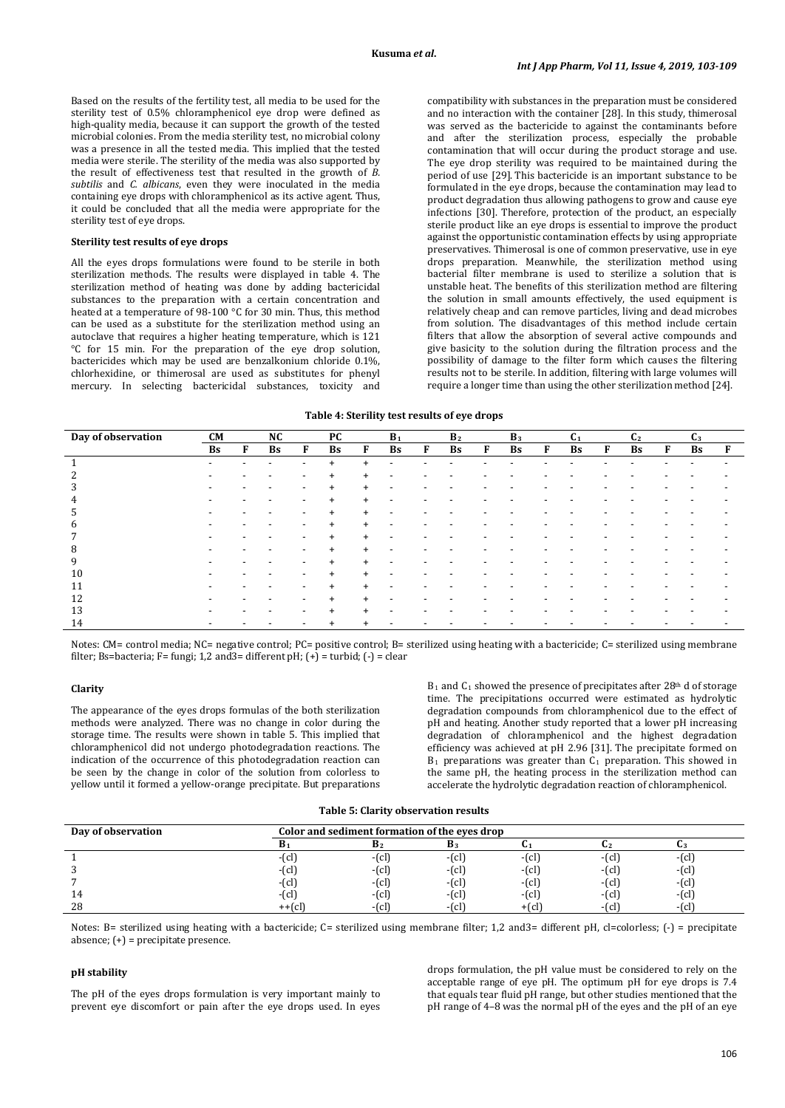Based on the results of the fertility test, all media to be used for the sterility test of 0.5% chloramphenicol eye drop were defined as high-quality media, because it can support the growth of the tested microbial colonies. From the media sterility test, no microbial colony was a presence in all the tested media. This implied that the tested media were sterile. The sterility of the media was also supported by the result of effectiveness test that resulted in the growth of *B. subtilis* and *C. albicans*, even they were inoculated in the media containing eye drops with chloramphenicol as its active agent. Thus, it could be concluded that all the media were appropriate for the sterility test of eye drops.

### **Sterility test results of eye drops**

All the eyes drops formulations were found to be sterile in both sterilization methods. The results were displayed in table 4. The sterilization method of heating was done by adding bactericidal substances to the preparation with a certain concentration and heated at a temperature of 98-100 °C for 30 min. Thus, this method can be used as a substitute for the sterilization method using an autoclave that requires a higher heating temperature, which is 121 °C for 15 min. For the preparation of the eye drop solution, bactericides which may be used are benzalkonium chloride 0.1%, chlorhexidine, or thimerosal are used as substitutes for phenyl mercury. In selecting bactericidal substances, toxicity and

compatibility with substances in the preparation must be considered and no interaction with the container [28]. In this study, thimerosal was served as the bactericide to against the contaminants before and after the sterilization process, especially the probable contamination that will occur during the product storage and use. The eye drop sterility was required to be maintained during the period of use [29]. This bactericide is an important substance to be formulated in the eye drops, because the contamination may lead to product degradation thus allowing pathogens to grow and cause eye infections [30]. Therefore, protection of the product, an especially sterile product like an eye drops is essential to improve the product against the opportunistic contamination effects by using appropriate preservatives. Thimerosal is one of common preservative, use in eye drops preparation. Meanwhile, the sterilization method using bacterial filter membrane is used to sterilize a solution that is unstable heat. The benefits of this sterilization method are filtering the solution in small amounts effectively, the used equipment is relatively cheap and can remove particles, living and dead microbes from solution. The disadvantages of this method include certain filters that allow the absorption of several active compounds and give basicity to the solution during the filtration process and the possibility of damage to the filter form which causes the filtering results not to be sterile. In addition, filtering with large volumes will require a longer time than using the other sterilization method [24].

#### **Table 4: Sterility test results of eye drops**

| Day of observation | <b>CM</b> |   | NC                       |                          | <b>PC</b> |           | $B_1$                    |                          | B <sub>2</sub>           |   | $B_3$     |   | C <sub>1</sub>           |   | C <sub>2</sub>           |                          | C <sub>3</sub> |   |
|--------------------|-----------|---|--------------------------|--------------------------|-----------|-----------|--------------------------|--------------------------|--------------------------|---|-----------|---|--------------------------|---|--------------------------|--------------------------|----------------|---|
|                    | Bs        | F | Bs                       | F                        | <b>Bs</b> | F         | <b>Bs</b>                | F                        | Bs                       | F | <b>Bs</b> | F | Bs                       | F | Bs                       | F                        | <b>Bs</b>      | F |
|                    | -         |   | $\overline{\phantom{a}}$ | $\overline{\phantom{a}}$ | $+$       | $\ddot{}$ | $\overline{\phantom{a}}$ |                          | $\overline{\phantom{a}}$ |   |           | ۰ |                          |   | $\overline{\phantom{a}}$ | -                        |                |   |
| 2                  |           |   |                          |                          | $\ddot{}$ | $\ddot{}$ |                          |                          |                          |   |           |   |                          |   |                          |                          |                |   |
| 3                  |           |   |                          | $\overline{\phantom{a}}$ | $\ddot{}$ | $\pm$     | $\overline{\phantom{0}}$ |                          |                          |   |           |   |                          |   |                          |                          |                |   |
| 4                  |           |   |                          | $\overline{\phantom{a}}$ | $\ddot{}$ | $\ddot{}$ | $\overline{\phantom{0}}$ |                          |                          |   |           |   |                          |   |                          |                          |                |   |
| 5                  | -         | - |                          | $\overline{\phantom{a}}$ | $+$       | $+$       | $\overline{\phantom{a}}$ | $\overline{\phantom{a}}$ |                          |   |           | ٠ | $\overline{\phantom{0}}$ | - | $\overline{\phantom{a}}$ | $\overline{\phantom{a}}$ |                |   |
| 6                  |           |   |                          | $\overline{\phantom{a}}$ | $+$       | $\ddot{}$ | $\blacksquare$           |                          |                          |   |           |   |                          |   |                          |                          |                |   |
| 7                  |           |   |                          | ٠                        | $\ddot{}$ | $\ddot{}$ | $\overline{\phantom{a}}$ |                          |                          |   |           |   |                          |   |                          |                          |                |   |
| 8                  |           |   |                          | $\overline{\phantom{a}}$ | $\ddot{}$ | $\ddot{}$ | $\overline{\phantom{a}}$ |                          |                          |   |           |   |                          |   |                          |                          |                |   |
| 9                  |           |   |                          | $\overline{\phantom{a}}$ | $\ddot{}$ | $\ddot{}$ | $\overline{\phantom{0}}$ |                          |                          |   |           |   | $\overline{\phantom{0}}$ |   |                          |                          |                |   |
| 10                 |           |   |                          | $\overline{\phantom{a}}$ | $+$       | $\ddot{}$ | $\overline{\phantom{0}}$ |                          |                          |   |           |   |                          |   |                          |                          |                |   |
| 11                 |           |   |                          |                          | $\ddot{}$ | $^+$      |                          |                          |                          |   |           |   |                          |   |                          |                          |                |   |
| 12                 |           |   |                          | $\overline{\phantom{a}}$ | $+$       | $\pm$     | $\overline{\phantom{a}}$ |                          |                          |   |           |   |                          |   |                          |                          |                |   |
| 13                 |           |   |                          | $\overline{\phantom{a}}$ | $\ddot{}$ | $\ddot{}$ | -                        |                          |                          |   |           |   |                          |   |                          |                          |                |   |
| 14                 |           |   |                          | $\overline{\phantom{a}}$ | $+$       |           |                          |                          |                          |   |           |   |                          |   |                          |                          |                |   |

Notes: CM= control media; NC= negative control; PC= positive control; B= sterilized using heating with a bactericide; C= sterilized using membrane filter; Bs=bacteria; F= fungi; 1,2 and 3= different pH;  $(+)$  = turbid;  $(-)$  = clear

### **Clarity**

The appearance of the eyes drops formulas of the both sterilization methods were analyzed. There was no change in color during the storage time. The results were shown in table 5. This implied that chloramphenicol did not undergo photodegradation reactions. The indication of the occurrence of this photodegradation reaction can be seen by the change in color of the solution from colorless to yellow until it formed a yellow-orange precipitate. But preparations  $B_1$  and  $C_1$  showed the presence of precipitates after 28<sup>th</sup> d of storage time. The precipitations occurred were estimated as hydrolytic degradation compounds from chloramphenicol due to the effect of pH and heating. Another study reported that a lower pH increasing degradation of chloramphenicol and the highest degradation efficiency was achieved at pH 2.96 [31]. The precipitate formed on  $B_1$  preparations was greater than  $C_1$  preparation. This showed in the same pH, the heating process in the sterilization method can accelerate the hydrolytic degradation reaction of chloramphenicol.

| Table 5: Clarity observation results |
|--------------------------------------|
|                                      |

| Day of observation | Color and sediment formation of the eyes drop |                       |                |        |                       |          |  |  |  |
|--------------------|-----------------------------------------------|-----------------------|----------------|--------|-----------------------|----------|--|--|--|
|                    | D 1                                           | B <sub>2</sub>        | B <sub>3</sub> |        |                       | u        |  |  |  |
|                    | $-ccl$                                        | $ (cl$                | $ (c)$         | $ cl$  | $  c $                | $ (cl)$  |  |  |  |
|                    | $- c $                                        | $ \lceil$ cl $\rceil$ | $ (c)$         | $ cl$  | $ cl$                 | $ (cl)$  |  |  |  |
|                    | $ (cl$                                        | $ cl$                 | $ (c)$         | $ cl$  | $ \left[$ c $\right]$ | $ (cl)$  |  |  |  |
| 14                 | $ [$ cl]                                      | $ (cl)$               | $ (cl$         | $ cl$  | $ \left[$ c $\right]$ | $-$ (cl) |  |  |  |
| 28                 | $++$ $cl$                                     | $ cl$                 | $ (c)$         | $+(c)$ | -(cl`                 | $-(cl)$  |  |  |  |

Notes: B= sterilized using heating with a bactericide; C= sterilized using membrane filter; 1,2 and3= different pH, cl=colorless;  $\{\cdot\}$  = precipitate absence; (+) = precipitate presence.

#### **pH stability**

The pH of the eyes drops formulation is very important mainly to prevent eye discomfort or pain after the eye drops used. In eyes

drops formulation, the pH value must be considered to rely on the acceptable range of eye pH. The optimum pH for eye drops is 7.4 that equals tear fluid pH range, but other studies mentioned that the pH range of 4–8 was the normal pH of the eyes and the pH of an eye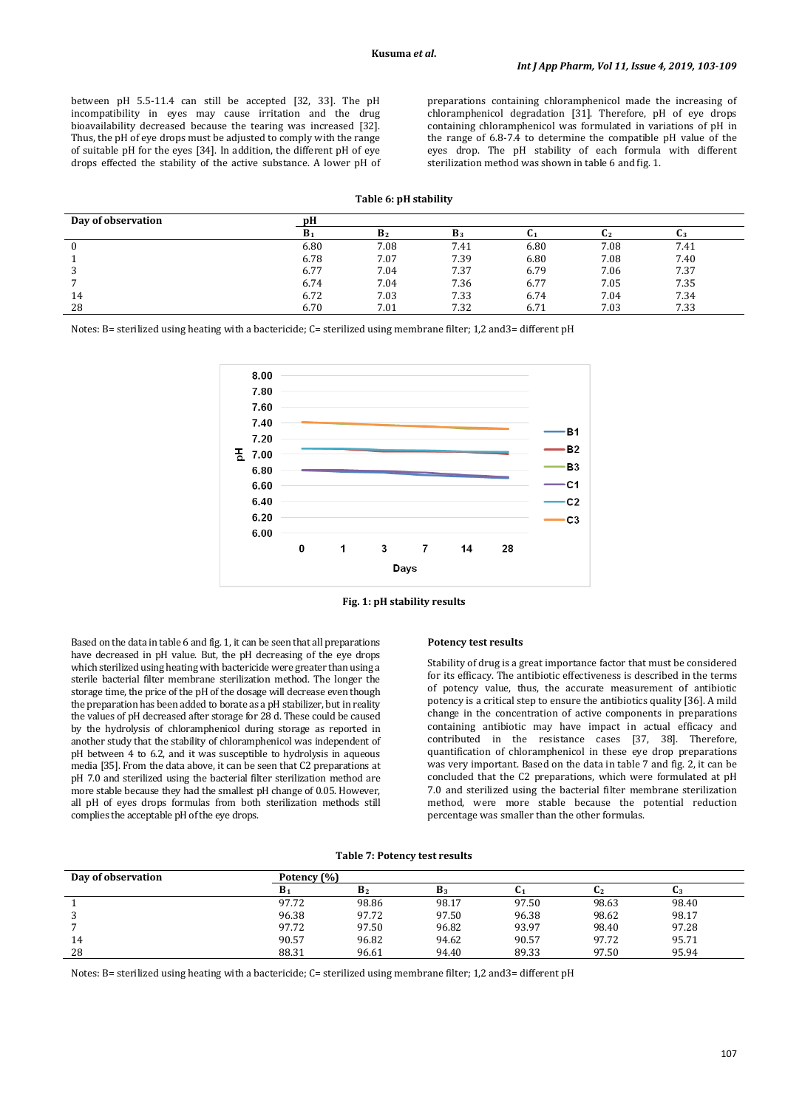between pH 5.5-11.4 can still be accepted [32, 33]. The pH incompatibility in eyes may cause irritation and the drug bioavailability decreased because the tearing was increased [32]. Thus, the pH of eye drops must be adjusted to comply with the range of suitable pH for the eyes [34]. In addition, the different pH of eye drops effected the stability of the active substance. A lower pH of preparations containing chloramphenicol made the increasing of chloramphenicol degradation [31]. Therefore, pH of eye drops containing chloramphenicol was formulated in variations of pH in the range of 6.8-7.4 to determine the compatible pH value of the eyes drop. The pH stability of each formula with different sterilization method was shown in table 6 and fig. 1.

## **Table 6: pH stability**

| Day of observation |                |                |                |      |      |      |
|--------------------|----------------|----------------|----------------|------|------|------|
|                    | B <sub>1</sub> | B <sub>2</sub> | B <sub>3</sub> |      | U2   | U3   |
|                    | 6.80           | 7.08           | 7.41           | 6.80 | 7.08 | 7.41 |
|                    | 6.78           | 7.07           | 7.39           | 6.80 | 7.08 | 7.40 |
|                    | 6.77           | 7.04           | 7.37           | 6.79 | 7.06 | 7.37 |
|                    | 6.74           | 7.04           | 7.36           | 6.77 | 7.05 | 7.35 |
| 14                 | 6.72           | 7.03           | 7.33           | 6.74 | 7.04 | 7.34 |
| 28                 | 6.70           | 7.01           | 7.32           | 6.71 | 7.03 | 7.33 |

Notes: B= sterilized using heating with a bactericide; C= sterilized using membrane filter; 1,2 and3= different pH



**Fig. 1: pH stability results**

Based on the data in table 6 and fig. 1, it can be seen that all preparations have decreased in pH value. But, the pH decreasing of the eye drops which sterilized using heating with bactericide were greater than using a sterile bacterial filter membrane sterilization method. The longer the storage time, the price of the pH of the dosage will decrease even though the preparation has been added to borate as a pH stabilizer, but in reality the values of pH decreased after storage for 28 d. These could be caused by the hydrolysis of chloramphenicol during storage as reported in another study that the stability of chloramphenicol was independent of pH between 4 to 6.2, and it was susceptible to hydrolysis in aqueous media [35]. From the data above, it can be seen that C2 preparations at pH 7.0 and sterilized using the bacterial filter sterilization method are more stable because they had the smallest pH change of 0.05. However, all pH of eyes drops formulas from both sterilization methods still complies the acceptable pH of the eye drops.

#### **Potency test results**

Stability of drug is a great importance factor that must be considered for its efficacy. The antibiotic effectiveness is described in the terms of potency value, thus, the accurate measurement of antibiotic potency is a critical step to ensure the antibiotics quality [36]. A mild change in the concentration of active components in preparations containing antibiotic may have impact in actual efficacy and contributed in the resistance cases [37, 38]. Therefore, quantification of chloramphenicol in these eye drop preparations was very important. Based on the data in table 7 and fig. 2, it can be concluded that the C2 preparations, which were formulated at pH 7.0 and sterilized using the bacterial filter membrane sterilization method, were more stable because the potential reduction percentage was smaller than the other formulas.

#### **Table 7: Potency test results**

| Day of observation |       | Potency (%)    |       |       |       |       |  |  |  |  |
|--------------------|-------|----------------|-------|-------|-------|-------|--|--|--|--|
|                    | D,    | B <sub>2</sub> | D3    | u1    |       |       |  |  |  |  |
|                    | 97.72 | 98.86          | 98.17 | 97.50 | 98.63 | 98.40 |  |  |  |  |
| 3                  | 96.38 | 97.72          | 97.50 | 96.38 | 98.62 | 98.17 |  |  |  |  |
| ∍                  | 97.72 | 97.50          | 96.82 | 93.97 | 98.40 | 97.28 |  |  |  |  |
| 14                 | 90.57 | 96.82          | 94.62 | 90.57 | 97.72 | 95.71 |  |  |  |  |
| 28                 | 88.31 | 96.61          | 94.40 | 89.33 | 97.50 | 95.94 |  |  |  |  |

Notes: B= sterilized using heating with a bactericide; C= sterilized using membrane filter; 1,2 and3= different pH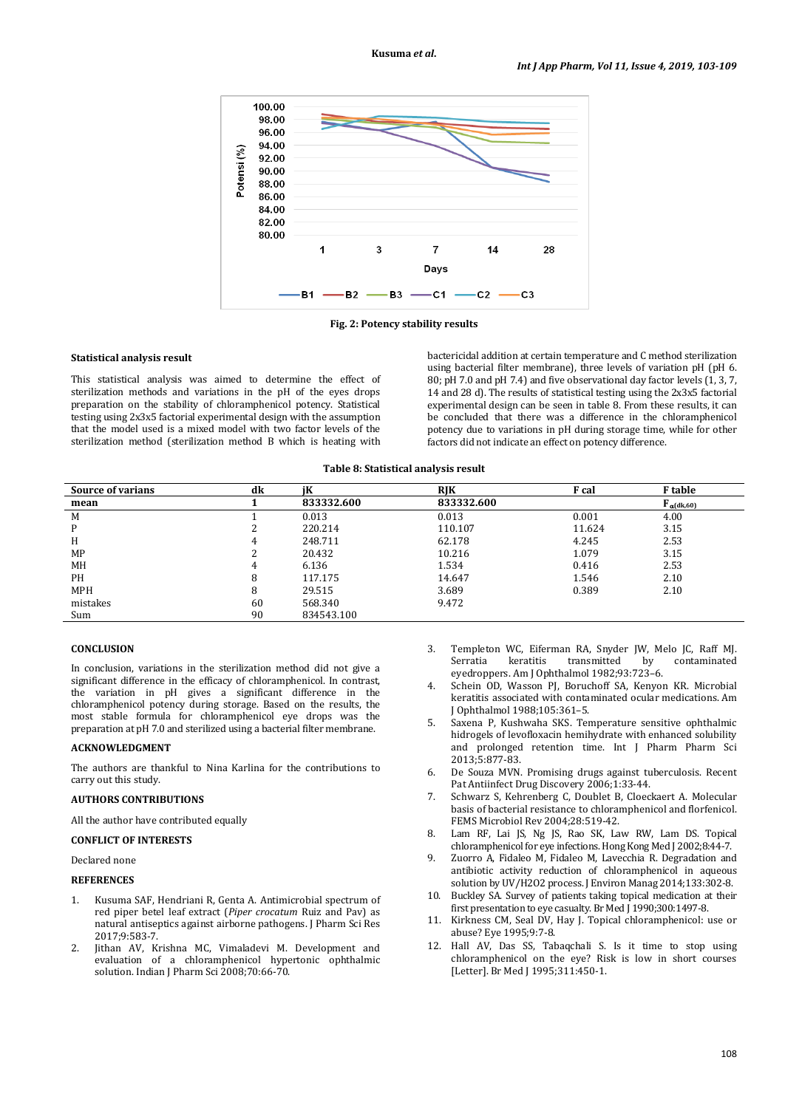

**Fig. 2: Potency stability results**

#### **Statistical analysis result**

This statistical analysis was aimed to determine the effect of sterilization methods and variations in the pH of the eyes drops preparation on the stability of chloramphenicol potency. Statistical testing using 2x3x5 factorial experimental design with the assumption that the model used is a mixed model with two factor levels of the sterilization method (sterilization method B which is heating with

bactericidal addition at certain temperature and C method sterilization using bacterial filter membrane), three levels of variation pH (pH 6. 80; pH 7.0 and pH 7.4) and five observational day factor levels  $(1, 3, 7, 7)$ 14 and 28 d). The results of statistical testing using the 2x3x5 factorial experimental design can be seen in table 8. From these results, it can be concluded that there was a difference in the chloramphenicol potency due to variations in pH during storage time, while for other factors did not indicate an effect on potency difference.

**Table 8: Statistical analysis result**

| <b>Source of varians</b> | dk | iК         | <b>RIK</b> | F cal  | <b>F</b> table             |
|--------------------------|----|------------|------------|--------|----------------------------|
| mean                     |    | 833332.600 | 833332.600 |        | ${\bf F}_{\alpha}$ (dk,60) |
| M                        |    | 0.013      | 0.013      | 0.001  | 4.00                       |
| P                        |    | 220.214    | 110.107    | 11.624 | 3.15                       |
| H                        | 4  | 248.711    | 62.178     | 4.245  | 2.53                       |
| MP                       |    | 20.432     | 10.216     | 1.079  | 3.15                       |
| MH                       | 4  | 6.136      | 1.534      | 0.416  | 2.53                       |
| PH                       | 8  | 117.175    | 14.647     | 1.546  | 2.10                       |
| <b>MPH</b>               | 8  | 29.515     | 3.689      | 0.389  | 2.10                       |
| mistakes                 | 60 | 568.340    | 9.472      |        |                            |
| Sum                      | 90 | 834543.100 |            |        |                            |

#### **CONCLUSION**

In conclusion, variations in the sterilization method did not give a significant difference in the efficacy of chloramphenicol. In contrast, the variation in pH gives a significant difference in the chloramphenicol potency during storage. Based on the results, the most stable formula for chloramphenicol eye drops was the preparation at pH 7.0 and sterilized using a bacterial filter membrane.

#### **ACKNOWLEDGMENT**

The authors are thankful to Nina Karlina for the contributions to carry out this study.

## **AUTHORS CONTRIBUTIONS**

All the author have contributed equally

## **CONFLICT OF INTERESTS**

Declared none

### **REFERENCES**

- 1. Kusuma SAF, Hendriani R, Genta A. Antimicrobial spectrum of red piper betel leaf extract (*Piper crocatum* Ruiz and Pav) as natural antiseptics against airborne pathogens. J Pharm Sci Res 2017;9:583-7.
- 2. Jithan AV, Krishna MC, Vimaladevi M. Development and evaluation of a chloramphenicol hypertonic ophthalmic solution. Indian J Pharm Sci 2008;70:66-70.
- 3. Templeton WC, Eiferman RA, Snyder JW, Melo JC, Raff MJ. keratitis transmitted eyedroppers. Am J Ophthalmol 1982;93 :723–6.
- 4. Schein OD, Wasson PJ, Boruchoff SA, Kenyon KR. Microbial keratitis associated with contaminated ocular medications. Am J Ophthalmol 1988;105 :361–5.
- 5. Saxena P, Kushwaha SKS. Temperature sensitive ophthalmic hidrogels of levofloxacin hemihydrate with enhanced solubility and prolonged retention time. Int J Pharm Pharm Sci 2013;5:877-83.
- 6. De Souza MVN. [Promising drugs against tuberculosis. Recent](http://www.ncbi.nlm.nih.gov/pubmed/18221132)  [Pat Antiinfect Drug Discovery](http://www.ncbi.nlm.nih.gov/pubmed/18221132) 2006;1:33-44.
- 7. Schwarz S, Kehrenberg C, Doublet B, Cloeckaert A. Molecular basis of bacterial resistance to chloramphenicol and florfenicol. FEMS Microbiol Rev 2004;28:519-42.
- 8. Lam RF, Lai JS, Ng JS, Rao SK, Law RW, Lam DS. Topical chloramphenicol for eye infections. Hong Kong Med J 2002;8:44-7.
- 9. Zuorro A, Fidaleo M, Fidaleo M, Lavecchia R. Degradation and antibiotic activity reduction of chloramphenicol in aqueous solution by UV/H2O2 process. J Environ Manag 2014;133:302-8.
- 10. Buckley SA. Survey of patients taking topical medication at their first presentation to eye casualty. Br Med J 1990;300:1497-8.
- 11. Kirkness CM, Seal DV, Hay J. Topical chloramphenicol: use or abuse? Eye 1995;9:7-8.
- 12. Hall AV, Das SS, Tabaqchali S. Is it time to stop using chloramphenicol on the eye? Risk is low in short courses [Letter]. Br Med J 1995;311:450-1.